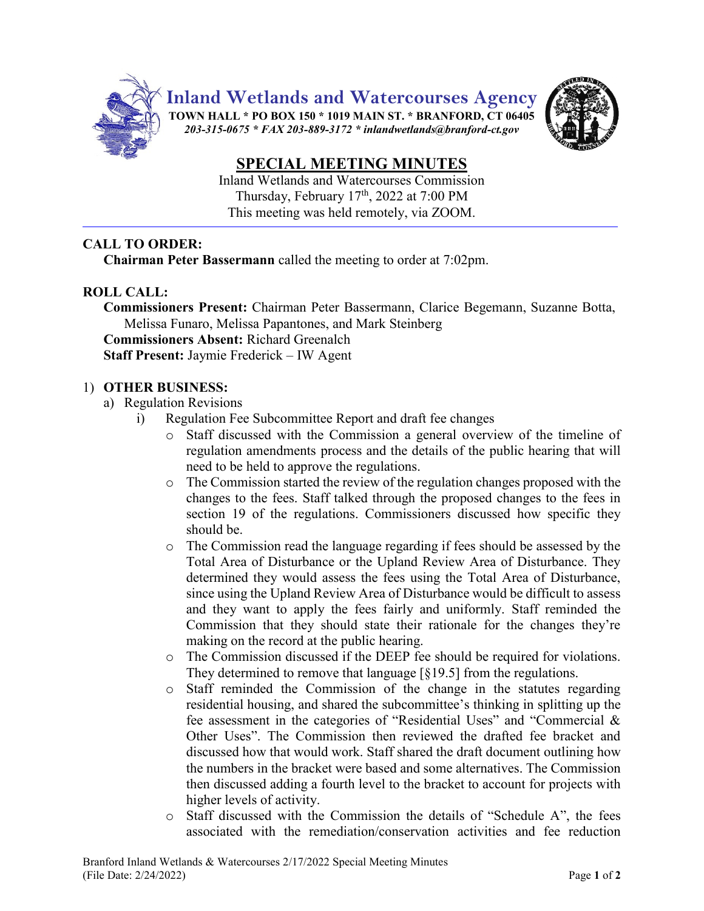

**Inland Wetlands and Watercourses Agency**

**TOWN HALL \* PO BOX 150 \* 1019 MAIN ST. \* BRANFORD, CT 06405** *203-315-0675 \* FAX 203-889-3172 \* inlandwetlands@branford-ct.gov* 



# **SPECIAL MEETING MINUTES**

Inland Wetlands and Watercourses Commission Thursday, February 17<sup>th</sup>, 2022 at 7:00 PM This meeting was held remotely, via ZOOM.

## **CALL TO ORDER:**

**Chairman Peter Bassermann** called the meeting to order at 7:02pm.

### **ROLL CALL:**

**Commissioners Present:** Chairman Peter Bassermann, Clarice Begemann, Suzanne Botta, Melissa Funaro, Melissa Papantones, and Mark Steinberg **Commissioners Absent:** Richard Greenalch

**Staff Present:** Jaymie Frederick – IW Agent

#### 1) **OTHER BUSINESS:**

- a) Regulation Revisions
	- i) Regulation Fee Subcommittee Report and draft fee changes
		- o Staff discussed with the Commission a general overview of the timeline of regulation amendments process and the details of the public hearing that will need to be held to approve the regulations.
		- $\circ$  The Commission started the review of the regulation changes proposed with the changes to the fees. Staff talked through the proposed changes to the fees in section 19 of the regulations. Commissioners discussed how specific they should be.
		- o The Commission read the language regarding if fees should be assessed by the Total Area of Disturbance or the Upland Review Area of Disturbance. They determined they would assess the fees using the Total Area of Disturbance, since using the Upland Review Area of Disturbance would be difficult to assess and they want to apply the fees fairly and uniformly. Staff reminded the Commission that they should state their rationale for the changes they're making on the record at the public hearing.
		- o The Commission discussed if the DEEP fee should be required for violations. They determined to remove that language [§19.5] from the regulations.
		- o Staff reminded the Commission of the change in the statutes regarding residential housing, and shared the subcommittee's thinking in splitting up the fee assessment in the categories of "Residential Uses" and "Commercial & Other Uses". The Commission then reviewed the drafted fee bracket and discussed how that would work. Staff shared the draft document outlining how the numbers in the bracket were based and some alternatives. The Commission then discussed adding a fourth level to the bracket to account for projects with higher levels of activity.
		- o Staff discussed with the Commission the details of "Schedule A", the fees associated with the remediation/conservation activities and fee reduction